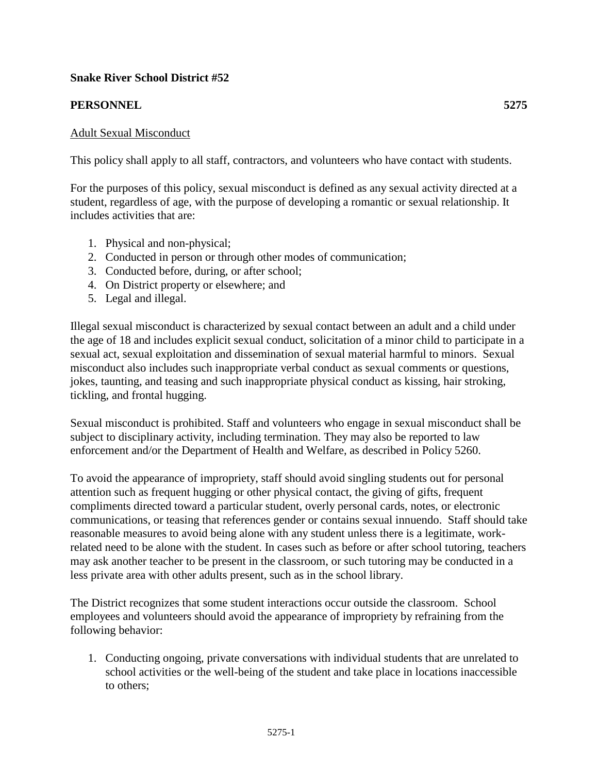# **Snake River School District #52**

## **PERSONNEL 5275**

### Adult Sexual Misconduct

This policy shall apply to all staff, contractors, and volunteers who have contact with students.

For the purposes of this policy, sexual misconduct is defined as any sexual activity directed at a student, regardless of age, with the purpose of developing a romantic or sexual relationship. It includes activities that are:

- 1. Physical and non-physical;
- 2. Conducted in person or through other modes of communication;
- 3. Conducted before, during, or after school;
- 4. On District property or elsewhere; and
- 5. Legal and illegal.

Illegal sexual misconduct is characterized by sexual contact between an adult and a child under the age of 18 and includes explicit sexual conduct, solicitation of a minor child to participate in a sexual act, sexual exploitation and dissemination of sexual material harmful to minors. Sexual misconduct also includes such inappropriate verbal conduct as sexual comments or questions, jokes, taunting, and teasing and such inappropriate physical conduct as kissing, hair stroking, tickling, and frontal hugging.

Sexual misconduct is prohibited. Staff and volunteers who engage in sexual misconduct shall be subject to disciplinary activity, including termination. They may also be reported to law enforcement and/or the Department of Health and Welfare, as described in Policy 5260.

To avoid the appearance of impropriety, staff should avoid singling students out for personal attention such as frequent hugging or other physical contact, the giving of gifts, frequent compliments directed toward a particular student, overly personal cards, notes, or electronic communications, or teasing that references gender or contains sexual innuendo. Staff should take reasonable measures to avoid being alone with any student unless there is a legitimate, workrelated need to be alone with the student. In cases such as before or after school tutoring, teachers may ask another teacher to be present in the classroom, or such tutoring may be conducted in a less private area with other adults present, such as in the school library.

The District recognizes that some student interactions occur outside the classroom. School employees and volunteers should avoid the appearance of impropriety by refraining from the following behavior:

1. Conducting ongoing, private conversations with individual students that are unrelated to school activities or the well-being of the student and take place in locations inaccessible to others;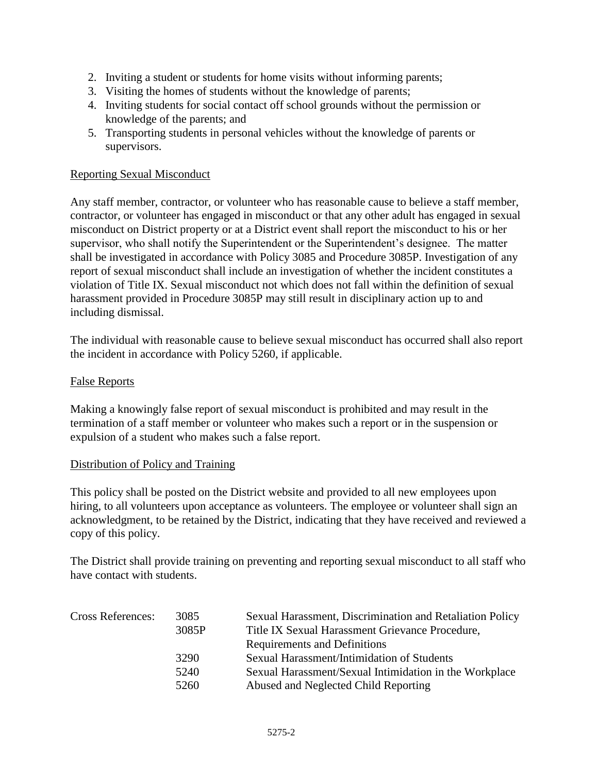- 2. Inviting a student or students for home visits without informing parents;
- 3. Visiting the homes of students without the knowledge of parents;
- 4. Inviting students for social contact off school grounds without the permission or knowledge of the parents; and
- 5. Transporting students in personal vehicles without the knowledge of parents or supervisors.

#### Reporting Sexual Misconduct

Any staff member, contractor, or volunteer who has reasonable cause to believe a staff member, contractor, or volunteer has engaged in misconduct or that any other adult has engaged in sexual misconduct on District property or at a District event shall report the misconduct to his or her supervisor, who shall notify the Superintendent or the Superintendent's designee. The matter shall be investigated in accordance with Policy 3085 and Procedure 3085P. Investigation of any report of sexual misconduct shall include an investigation of whether the incident constitutes a violation of Title IX. Sexual misconduct not which does not fall within the definition of sexual harassment provided in Procedure 3085P may still result in disciplinary action up to and including dismissal.

The individual with reasonable cause to believe sexual misconduct has occurred shall also report the incident in accordance with Policy 5260, if applicable.

#### False Reports

Making a knowingly false report of sexual misconduct is prohibited and may result in the termination of a staff member or volunteer who makes such a report or in the suspension or expulsion of a student who makes such a false report.

#### Distribution of Policy and Training

This policy shall be posted on the District website and provided to all new employees upon hiring, to all volunteers upon acceptance as volunteers. The employee or volunteer shall sign an acknowledgment, to be retained by the District, indicating that they have received and reviewed a copy of this policy.

The District shall provide training on preventing and reporting sexual misconduct to all staff who have contact with students.

| <b>Cross References:</b> | 3085<br>3085P | Sexual Harassment, Discrimination and Retaliation Policy<br>Title IX Sexual Harassment Grievance Procedure, |
|--------------------------|---------------|-------------------------------------------------------------------------------------------------------------|
|                          |               | Requirements and Definitions                                                                                |
|                          | 3290          | Sexual Harassment/Intimidation of Students                                                                  |
|                          | 5240          | Sexual Harassment/Sexual Intimidation in the Workplace                                                      |
|                          | 5260          | Abused and Neglected Child Reporting                                                                        |